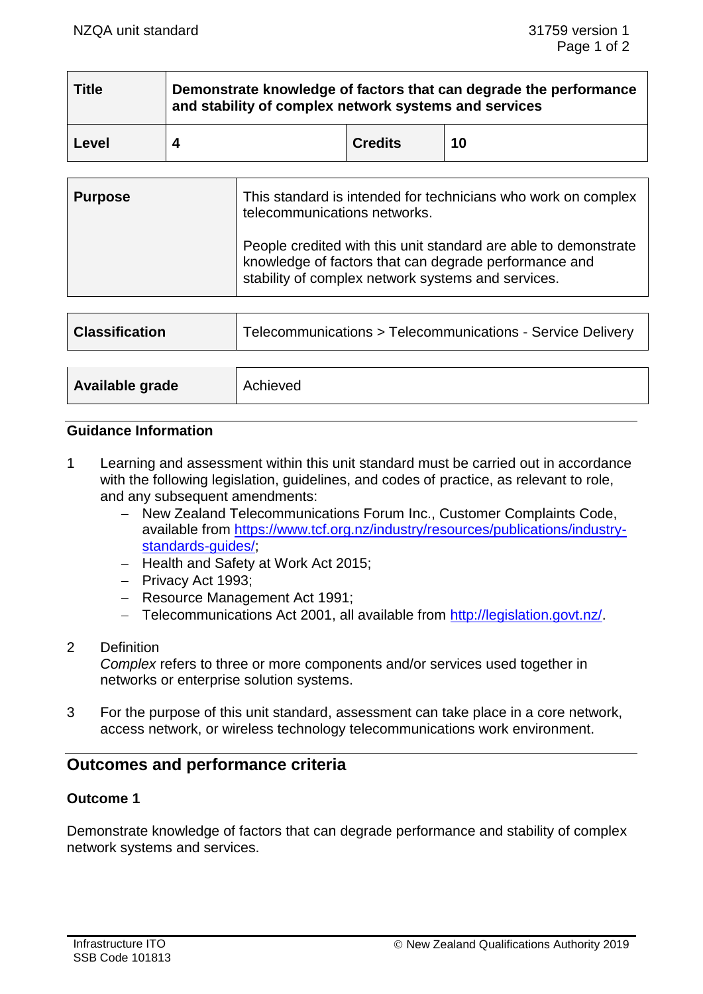| <b>Title</b> | Demonstrate knowledge of factors that can degrade the performance<br>and stability of complex network systems and services |                |    |
|--------------|----------------------------------------------------------------------------------------------------------------------------|----------------|----|
| Level        |                                                                                                                            | <b>Credits</b> | 10 |

| <b>Purpose</b> | This standard is intended for technicians who work on complex<br>telecommunications networks.                                                                                  |
|----------------|--------------------------------------------------------------------------------------------------------------------------------------------------------------------------------|
|                | People credited with this unit standard are able to demonstrate<br>knowledge of factors that can degrade performance and<br>stability of complex network systems and services. |

| <b>Classification</b>  | Telecommunications > Telecommunications - Service Delivery |  |
|------------------------|------------------------------------------------------------|--|
|                        |                                                            |  |
| <b>Available grade</b> | Achieved                                                   |  |

### **Guidance Information**

- 1 Learning and assessment within this unit standard must be carried out in accordance with the following legislation, guidelines, and codes of practice, as relevant to role, and any subsequent amendments:
	- − New Zealand Telecommunications Forum Inc., Customer Complaints Code, available from https://www.tcf.org.nz/industry/resources/publications/industrv[standards-guides/;](https://www.tcf.org.nz/industry/resources/publications/industry-standards-guides/)
	- − Health and Safety at Work Act 2015;
	- − Privacy Act 1993;
	- − Resource Management Act 1991;
	- − Telecommunications Act 2001, all available from [http://legislation.govt.nz/.](http://legislation.govt.nz/)
- 2 Definition

*Complex* refers to three or more components and/or services used together in networks or enterprise solution systems.

3 For the purpose of this unit standard, assessment can take place in a core network, access network, or wireless technology telecommunications work environment.

# **Outcomes and performance criteria**

### **Outcome 1**

Demonstrate knowledge of factors that can degrade performance and stability of complex network systems and services.